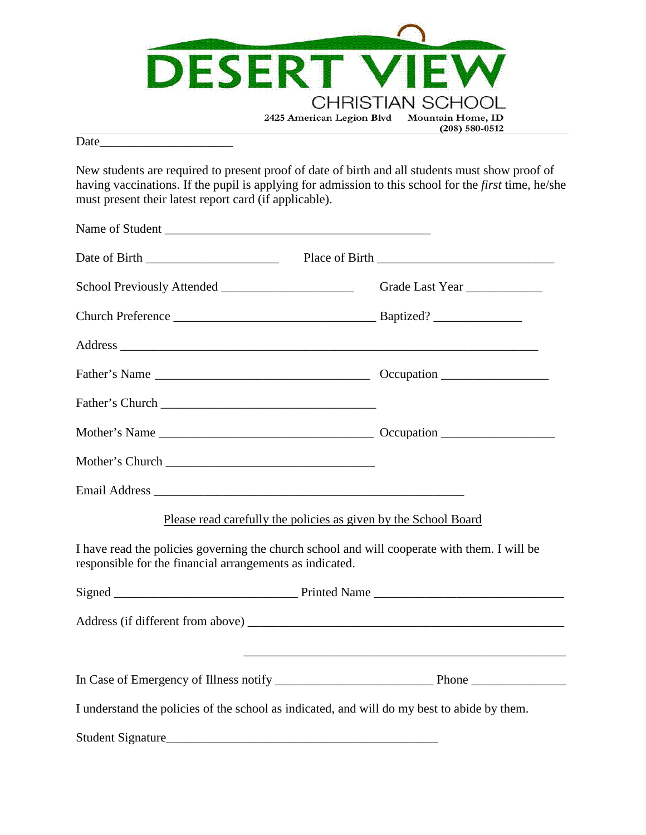

Date

New students are required to present proof of date of birth and all students must show proof of having vaccinations. If the pupil is applying for admission to this school for the *first* time, he/she must present their latest report card (if applicable).

| Name of Student                                                                                                                                          |                                                                                  |  |  |
|----------------------------------------------------------------------------------------------------------------------------------------------------------|----------------------------------------------------------------------------------|--|--|
|                                                                                                                                                          |                                                                                  |  |  |
|                                                                                                                                                          | Grade Last Year                                                                  |  |  |
|                                                                                                                                                          |                                                                                  |  |  |
|                                                                                                                                                          |                                                                                  |  |  |
|                                                                                                                                                          |                                                                                  |  |  |
| Father's Church                                                                                                                                          |                                                                                  |  |  |
|                                                                                                                                                          |                                                                                  |  |  |
|                                                                                                                                                          |                                                                                  |  |  |
|                                                                                                                                                          |                                                                                  |  |  |
|                                                                                                                                                          | Please read carefully the policies as given by the School Board                  |  |  |
| I have read the policies governing the church school and will cooperate with them. I will be<br>responsible for the financial arrangements as indicated. |                                                                                  |  |  |
|                                                                                                                                                          |                                                                                  |  |  |
|                                                                                                                                                          |                                                                                  |  |  |
|                                                                                                                                                          | ,我们也不能在这里的时候,我们也不能在这里的时候,我们也不能会在这里的时候,我们也不能会在这里的时候,我们也不能会在这里的时候,我们也不能会在这里的时候,我们也 |  |  |
|                                                                                                                                                          |                                                                                  |  |  |
| I understand the policies of the school as indicated, and will do my best to abide by them.                                                              |                                                                                  |  |  |
| <b>Student Signature</b>                                                                                                                                 |                                                                                  |  |  |